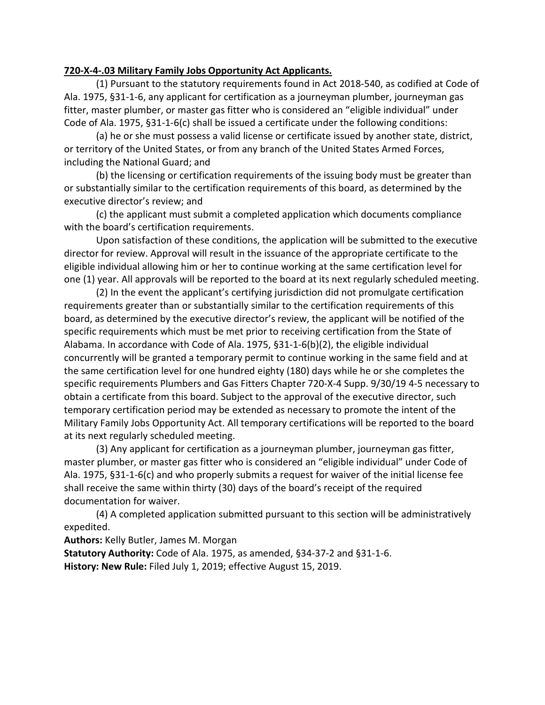## **720-X-4-.03 Military Family Jobs Opportunity Act Applicants.**

(1) Pursuant to the statutory requirements found in Act 2018-540, as codified at Code of Ala. 1975, §31-1-6, any applicant for certification as a journeyman plumber, journeyman gas fitter, master plumber, or master gas fitter who is considered an "eligible individual" under Code of Ala. 1975, §31-1-6(c) shall be issued a certificate under the following conditions:

(a) he or she must possess a valid license or certificate issued by another state, district, or territory of the United States, or from any branch of the United States Armed Forces, including the National Guard; and

(b) the licensing or certification requirements of the issuing body must be greater than or substantially similar to the certification requirements of this board, as determined by the executive director's review; and

(c) the applicant must submit a completed application which documents compliance with the board's certification requirements.

Upon satisfaction of these conditions, the application will be submitted to the executive director for review. Approval will result in the issuance of the appropriate certificate to the eligible individual allowing him or her to continue working at the same certification level for one (1) year. All approvals will be reported to the board at its next regularly scheduled meeting.

(2) In the event the applicant's certifying jurisdiction did not promulgate certification requirements greater than or substantially similar to the certification requirements of this board, as determined by the executive director's review, the applicant will be notified of the specific requirements which must be met prior to receiving certification from the State of Alabama. In accordance with Code of Ala. 1975, §31-1-6(b)(2), the eligible individual concurrently will be granted a temporary permit to continue working in the same field and at the same certification level for one hundred eighty (180) days while he or she completes the specific requirements Plumbers and Gas Fitters Chapter 720-X-4 Supp. 9/30/19 4-5 necessary to obtain a certificate from this board. Subject to the approval of the executive director, such temporary certification period may be extended as necessary to promote the intent of the Military Family Jobs Opportunity Act. All temporary certifications will be reported to the board at its next regularly scheduled meeting.

(3) Any applicant for certification as a journeyman plumber, journeyman gas fitter, master plumber, or master gas fitter who is considered an "eligible individual" under Code of Ala. 1975, §31-1-6(c) and who properly submits a request for waiver of the initial license fee shall receive the same within thirty (30) days of the board's receipt of the required documentation for waiver.

(4) A completed application submitted pursuant to this section will be administratively expedited.

**Authors:** Kelly Butler, James M. Morgan

**Statutory Authority:** Code of Ala. 1975, as amended, §34-37-2 and §31-1-6. **History: New Rule:** Filed July 1, 2019; effective August 15, 2019.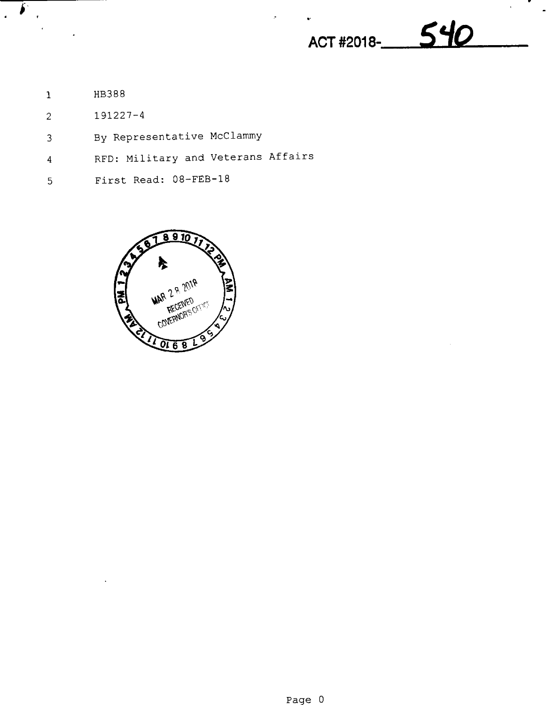ACT #2018- 540

H3388  $\mathbf 1$ 

 $\mathbf{r}$  $\mathbf{A}^{\dagger}$ 

 $\mathbf{r}$ 

- 191227—4  $\overline{c}$
- By Representative McClammy  $\overline{3}$
- RFD: Military and Veterans Affairs  $\overline{4}$
- First Read: 08-FEB-18  $\overline{5}$

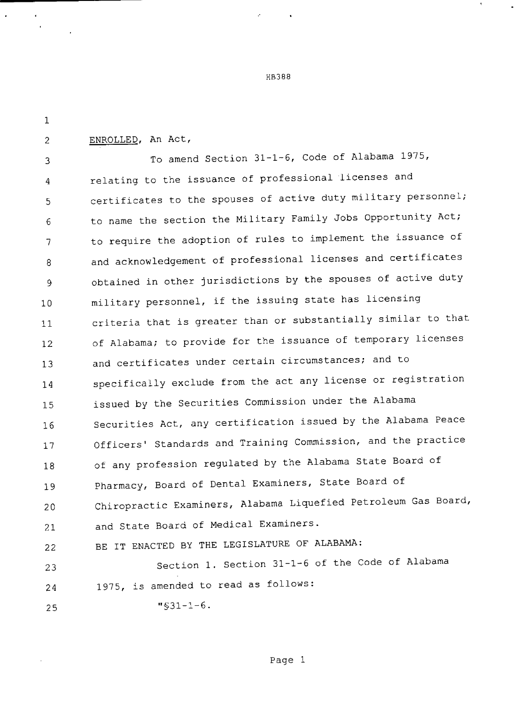H8388

 $\mathbf{r}$ 

 $\mathbf{1}$ ENROLLED, An Act,  $\overline{2}$ To amend Section 31—1—6, Code of Alabama 1975, R relating to the issuance of professional licenses and  $\overline{A}$ certificates to the spouses of active duty military personnel; 5 to name the section the Military Family Jobs Opportunity Act; 6 to require the adoption of rules to implement the issuance of  $\overline{7}$ and acknowledgement of professional licenses and certificates 8 obtained in other jurisdictions by the spouses of active duty 9 military personnel, if the issuing state has licensing 10 criteria that is greater than or substantially similar to that 11 of Alabama; to provide for the issuance of temporary licenses 12 and certificates under certain circumstances; and to 13 specifically exclude from the act any license or registration 14 issued by the Securities Commission under the Alabama 15 Securities Act, any certification issued by the Alabama Peace 16 Officers' Standards and Training Commission, and the practice 17 of any profession regulated by the Alabama State Board of 18 Pharmacy, Board of Dental Examiners, State Board of 19 Chiropractic Examiners, Alabama Liquefied Petroleum Gas Board, 20 and State Board of Medical Examiners. 21 BE IT ENACTED BY THE LEGISLATURE OF ALABAMA: 22 Section 1. Section 31—1—6 of the Code of Alabama 23 1975, is amended to read as follows: 24 "§31-1—6. 25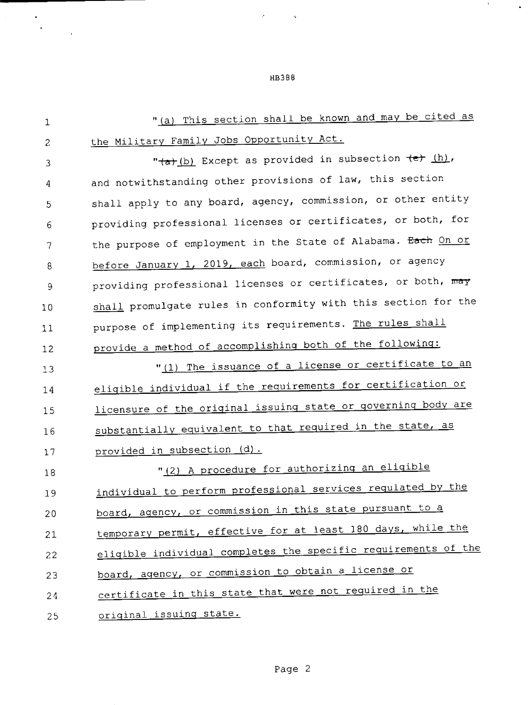| $\mathbf{1}$ | "(a) This section shall be known and may be cited as           |
|--------------|----------------------------------------------------------------|
| 2            | the Military Family Jobs Opportunity Act.                      |
| 3            | " (a) (b) Except as provided in subsection (e) (h),            |
| 4            | and notwithstanding other provisions of law, this section      |
| 5            | shall apply to any board, agency, commission, or other entity  |
| 6            | providing professional licenses or certificates, or both, for  |
| 7            | the purpose of employment in the State of Alabama. Each On or  |
| 8            | before January 1, 2019, each board, commission, or agency      |
| 9            | providing professional licenses or certificates, or both, may  |
| 10           | shall promulgate rules in conformity with this section for the |
| 11           | purpose of implementing its requirements. The rules shall      |
| 12           | provide a method of accomplishing both of the following:       |
| 13           | "(1) The issuance of a license or certificate to an            |
| 14           | eligible individual if the requirements for certification or   |
| 15           | licensure of the original issuing state or governing body are  |
| 16           | substantially equivalent to that required in the state, as     |
| 17           | provided in subsection (d).                                    |
| 18           | "(2) A procedure for authorizing an eligible                   |
| 19           | individual to perform professional services regulated by the   |
| 20           | board, agency, or commission in this state pursuant to a       |
| 21           | temporary permit, effective for at least 180 days, while the   |
| 22           | eligible individual completes the specific requirements of the |
| 23           | board, agency, or commission to obtain a license or            |
| 24           | certificate in this state that were not required in the        |
| 25           | original issuing state.                                        |

HB388

 $\mathcal{A}=\mathcal{A}$  ,  $\mathcal{A}$ 

 $\mathcal{O}(\mathcal{O}(\log n))$  .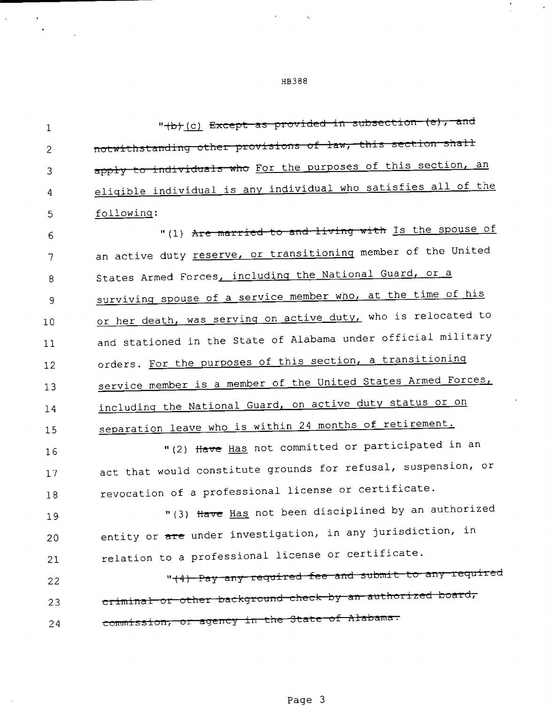"(b) (c) Except as provided in subsection (e), and  $\mathbf{1}$ notwithstanding other provisions of law, this section shall  $\overline{c}$ apply to individuals who For the purposes of this section, an 3 eligible individual is any individual who satisfies all of the 4 following: 5

"(1) Are married to and living with Is the spouse of 6 an active duty reserve, or transitioning member of the United 7 States Armed Forces, including the National Guard, or a 8 surviving spouse of a service member who, at the time of his 9 or her death, was serving on active duty, who is relocated to  $10$ and stationed in the State of Alabama under official military  $11$ orders. For the purposes of this section, a transitioning  $12$ service member is a member of the United States Armed Forces,  $13$ including the National Guard, on active duty status or on  $14$ separation leave who is within 24 months of retirement. 15 "(2) Have Has not committed or participated in an  $16$ act that would constitute grounds for refusal, suspension, or 17 revocation of a professional license or certificate. 18 "(3) Have Has not been disciplined by an authorized 19 entity or are under investigation, in any jurisdiction, in 20 relation to a professional license or certificate. 21 "(4) Pay any required fee and submit to any required 22 criminal or other background check by an authorized board, 23 commission, or agency in the State of Alabama. 24

## **HB388**

Page 3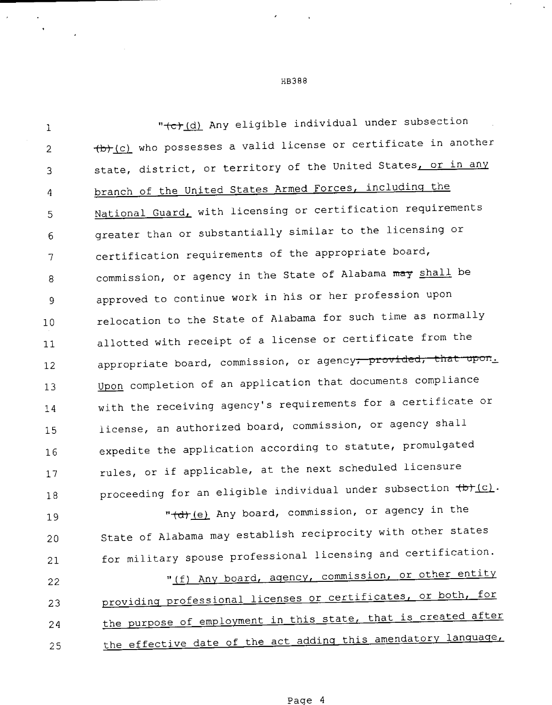l under subsection<br>certificate in another<br>ted States<u>, or in any</u><br>including the<br>ication requirements<br>the licensing or<br>riate board,<br>abama may <u>shall</u> be<br>profession upon<br>uch time as normally<br>rtificate from the " (c) (d) Any eligible individual under subsection  $\mathbf 1$  $+b+(c)$  who possesses a valid license or certificate in another  $\overline{2}$ state, district, or territory of the United States, or in any 3 branch of the United States Armed Forces, including the  $\overline{a}$ National Guard, with licensing or certification requirements 5 greater than or substantially similar to the licensing or 6 certification requirements of the appropriate board, 7 commission, or agency in the State of Alabama may shall be 8 approved to continue work in his or her profession upon 9 relocation to the State of Alabama for such time as normally 10 allotted with receipt of <sup>a</sup> license or certificate from the  $11$ appropriate board, commission, or agency<del>, provided, that upon</del>. 12 Upon completion of an application that documents compliance 13 with the receiving agency's requirements for <sup>a</sup> certificate or 14 license, an authorized board, commission, or agency shall 15 expedite the application according to statute, promulgated 16 rules, or if applicable, at the next scheduled licensure 17 proceeding for an eligible individual under subsection  $\leftarrow$   $\leftarrow$ 18 "(d) (e) Any board, commission, or agency in the 19 State of Alabama may establish reciprocity with other states 20

22 23 24 25 "(f) Any board, agency, commission, or other entity providing professional licenses or certificates, or both, for the purpose of employment in this state, that is created after the effective date of the act adding this amendatory language,

for military spouse professional licensing and certification.

21

HB388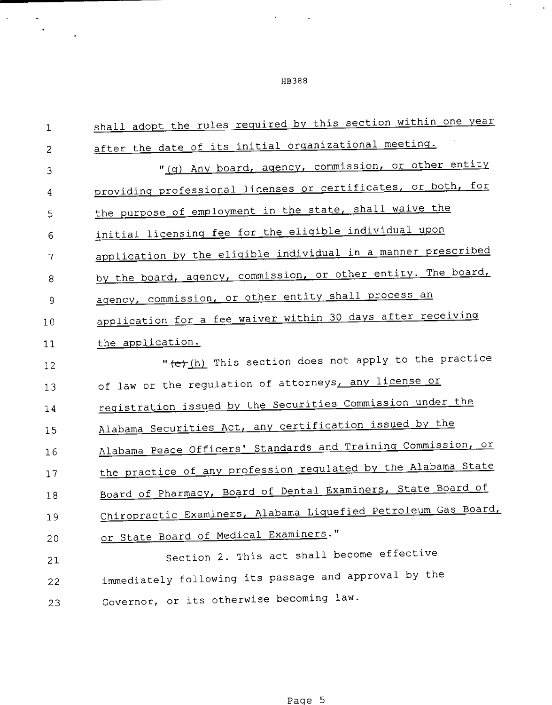$\mathcal{L}^{\text{max}}_{\text{max}}$  and  $\mathcal{L}^{\text{max}}_{\text{max}}$ 

 $\mathcal{O}(\mathcal{O}_\mathcal{O})$  . As

| $\mathbf{1}$ | shall adopt the rules required by this section within one year |
|--------------|----------------------------------------------------------------|
| 2            | after the date of its initial organizational meeting.          |
| 3            | "(g) Any board, agency, commission, or other entity            |
| 4            | providing professional licenses or certificates, or both, for  |
| 5            | the purpose of employment in the state, shall waive the        |
| 6            | initial licensing fee for the eligible individual upon         |
| 7            | application by the eligible individual in a manner prescribed  |
| 8            | by the board, agency, commission, or other entity. The board,  |
| 9            | agency, commission, or other entity shall process an           |
| 10           | application for a fee waiver within 30 days after receiving    |
| 11           | the application.                                               |
| 12           | " (e) (h) This section does not apply to the practice          |
| 13           | of law or the regulation of attorneys, any license or          |
| 14           | reqistration issued by the Securities Commission under the     |
| 15           | Alabama Securities Act, any certification issued by the        |
| 16           | Alabama Peace Officers' Standards and Training Commission, or  |
| 17           | the practice of any profession regulated by the Alabama State  |
| 18           | Board of Pharmacy, Board of Dental Examiners, State Board of   |
| 19           | Chiropractic Examiners, Alabama Liquefied Petroleum Gas Board, |
| 20           | or State Board of Medical Examiners."                          |
| 21           | Section 2. This act shall become effective                     |
| 22           | immediately following its passage and approval by the          |
| 23           | Governor, or its otherwise becoming law.                       |
|              |                                                                |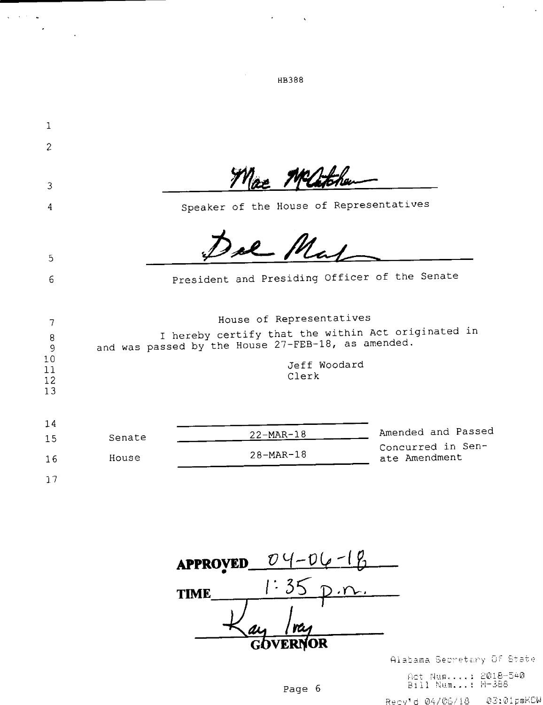| 1                                   |        |                                                                                                                                                               |                                         |
|-------------------------------------|--------|---------------------------------------------------------------------------------------------------------------------------------------------------------------|-----------------------------------------|
| 2                                   |        |                                                                                                                                                               |                                         |
|                                     |        |                                                                                                                                                               |                                         |
| 3                                   |        | Mac Matchen                                                                                                                                                   |                                         |
| 4                                   |        | Speaker of the House of Representatives                                                                                                                       |                                         |
| 5                                   |        | Del Mal                                                                                                                                                       |                                         |
| 6                                   |        | President and Presiding Officer of the Senate                                                                                                                 |                                         |
| 7<br>8<br>9<br>10<br>11<br>12<br>13 |        | House of Representatives<br>I hereby certify that the within Act originated in<br>and was passed by the House 27-FEB-18, as amended.<br>Jeff Woodard<br>Clerk |                                         |
| 14<br>15                            | Senate | 22-MAR-18                                                                                                                                                     | Amended and Passed<br>Concurred in Sen- |
| 16                                  | House  | $28 - MAR - 18$                                                                                                                                               | ate Amendment                           |
| 17                                  |        |                                                                                                                                                               |                                         |

 $\mathcal{A}(\mathcal{A})$  and  $\mathcal{A}(\mathcal{A})$ 

HB388

 $\left\langle \hat{\mathbf{x}}_{i}^{(i)},\hat{\mathbf{x}}_{j}^{(i)}\right\rangle$  and

 $\label{eq:2} \frac{1}{2} \sum_{i=1}^n \frac{1}{2} \sum_{j=1}^n \frac{1}{2} \sum_{j=1}^n \frac{1}{2} \sum_{j=1}^n \frac{1}{2} \sum_{j=1}^n \frac{1}{2} \sum_{j=1}^n \frac{1}{2} \sum_{j=1}^n \frac{1}{2} \sum_{j=1}^n \frac{1}{2} \sum_{j=1}^n \frac{1}{2} \sum_{j=1}^n \frac{1}{2} \sum_{j=1}^n \frac{1}{2} \sum_{j=1}^n \frac{1}{2} \sum_{j=1}^n \frac{1}{$ 

| <b>APPROVED</b> | $U-n(n-1)$  |  |  |  |  |  |
|-----------------|-------------|--|--|--|--|--|
| TIME            |             |  |  |  |  |  |
|                 | <u>Inay</u> |  |  |  |  |  |
| <b>GOVERNOR</b> |             |  |  |  |  |  |

 $\mathcal{A}^{\mathrm{c}}$  .

 $\mathcal{L}^{\mathcal{L}}$  .

Page 6